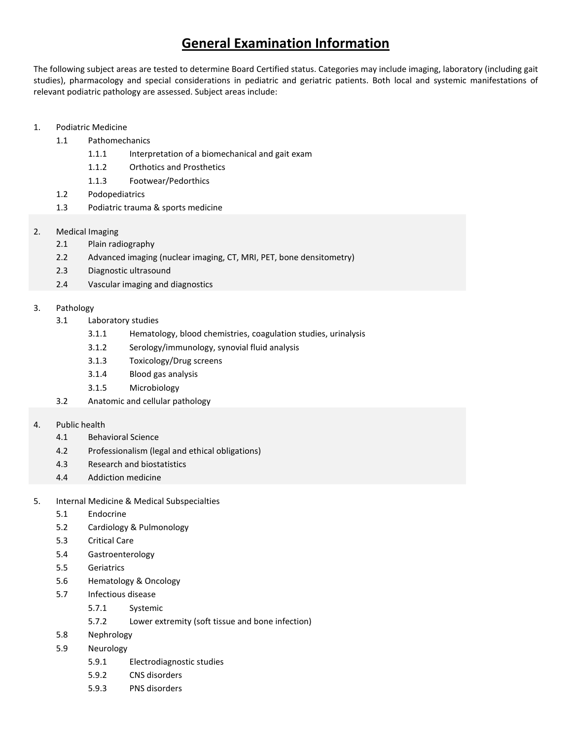## **General Examination Information**

The following subject areas are tested to determine Board Certified status. Categories may include imaging, laboratory (including gait studies), pharmacology and special considerations in pediatric and geriatric patients. Both local and systemic manifestations of relevant podiatric pathology are assessed. Subject areas include:

- 1. Podiatric Medicine
	- 1.1 Pathomechanics
		- 1.1.1 Interpretation of a biomechanical and gait exam
		- 1.1.2 Orthotics and Prosthetics
		- 1.1.3 Footwear/Pedorthics
	- 1.2 Podopediatrics
	- 1.3 Podiatric trauma & sports medicine
- 2. Medical Imaging
	- 2.1 Plain radiography
	- 2.2 Advanced imaging (nuclear imaging, CT, MRI, PET, bone densitometry)
	- 2.3 Diagnostic ultrasound
	- 2.4 Vascular imaging and diagnostics
- 3. Pathology
	- 3.1 Laboratory studies
		- 3.1.1 Hematology, blood chemistries, coagulation studies, urinalysis
		- 3.1.2 Serology/immunology, synovial fluid analysis
		- 3.1.3 Toxicology/Drug screens
		- 3.1.4 Blood gas analysis
		- 3.1.5 Microbiology
	- 3.2 Anatomic and cellular pathology

## 4. Public health

- 4.1 Behavioral Science
- 4.2 Professionalism (legal and ethical obligations)
- 4.3 Research and biostatistics
- 4.4 Addiction medicine
- 5. Internal Medicine & Medical Subspecialties
	- 5.1 Endocrine
	- 5.2 Cardiology & Pulmonology
	- 5.3 Critical Care
	- 5.4 Gastroenterology
	- 5.5 Geriatrics
	- 5.6 Hematology & Oncology
	- 5.7 Infectious disease
		- 5.7.1 Systemic
		- 5.7.2 Lower extremity (soft tissue and bone infection)
	- 5.8 Nephrology
	- 5.9 Neurology
		- 5.9.1 Electrodiagnostic studies
		- 5.9.2 CNS disorders
		- 5.9.3 PNS disorders